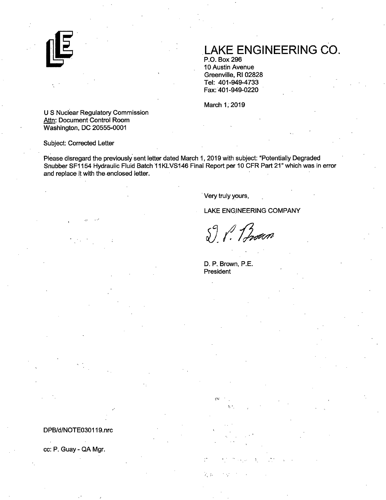

## **.LAKE ENGINEERING** CO.

P.O. Box296 10 Austin Avenue Greenville, RI 02828 Tel: 401-949-4733 Fax: 401-949-0220

March 1; 2019

U S Nuclear Regulatory Commission Attn: Document Control Room Washington, DC 20555-0001

~-,, ..

Subject: Corrected Letter

. . Please disregard the previously sent letter dated March 1, 2019 with subject: "Potentially Degraded Snubber SF1154 Hydraulic Fluid Batch 11KLVS146 Final Report per 10 CFR Part 21" which was in error and replace it with the.enclosed letter.

Very truly yours,

LAKE ENGINEERING COMPANY

S. P. Brown

D. P. Brown, P.E. President

k, p

DPB/d/NOTE030119.nrc

cc: P. Guay - QA Mgr.